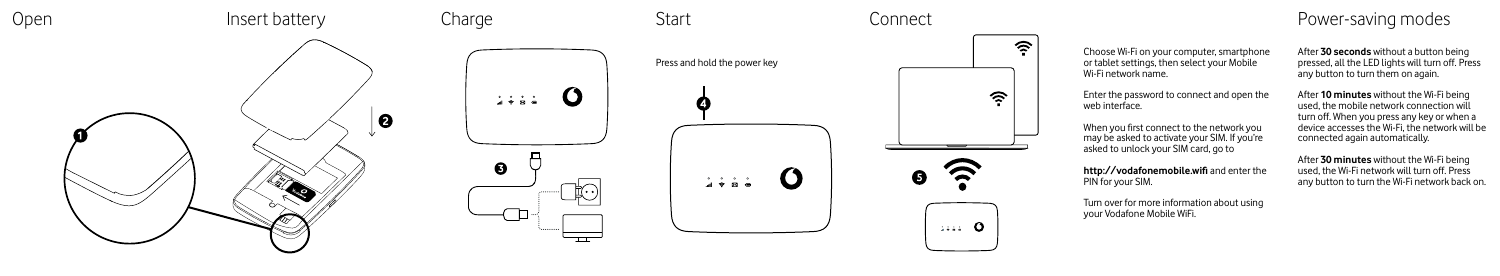Choose Wi-Fi on your computer, smartphone or tablet settings, then select your Mobile Wi-Fi network name.

Enter the password to connect and open the web interface.



 $\widehat{\mathfrak{D}}$  $\widehat{\mathbf{z}}$ 

When you first connect to the network you may be asked to activate your SIM. If you're asked to unlock your SIM card, go to

**http://vodafonemobile.wifi** and enter the PIN for your SIM.

Turn over for more information about using your Vodafone Mobile WiFi.

After **30 seconds** without a button being pressed, all the LED lights will turn off. Press any button to turn them on again.

After **10 minutes** without the Wi-Fi being used, the mobile network connection will turn off. When you press any key or when a device accesses the Wi-Fi, the network will be connected again automatically.

After **30 minutes** without the Wi-Fi being used, the Wi-Fi network will turn off. Press any button to turn the Wi-Fi network back on.

# Power-saving modes